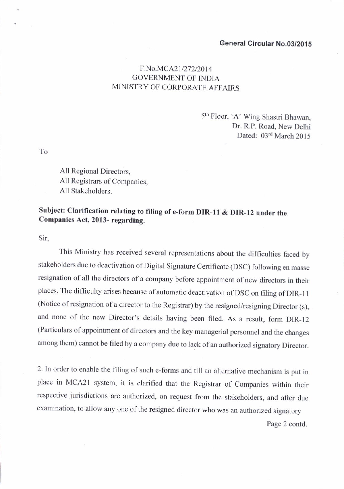## ceneral Circular No.03/201S

## F.No.MCA21/272/2014 GOVERNMENT OF INDIA MINISTRY OF CORPORATE AFFAIRS

5'n Floor, 'A' Wing Shastri Bhawan, Dr. R.P. Road, New Delhi Dated: 03rd March 2015

To

All Regional Directors, All Registrars of Companies, All Stakeholders.

## Subject: Clarification relating to filing of e-form DIR-I1 & DIR-12 under the Companies Act, 2013- regarding.

Sir,

This Ministry has received several representations about the difficulties faced by stakeholders due to deactivation of Digiral signature certificate (DSC) following en masse resignation of all the directors of a company before appointment of new directors in their places. The difficulty arises because of automatic deactivation of DSC on filing of DIR-11 (Notice of resignation of a director to the Registrar) by the resigned/resigning Director (s), and none of the new Director's details having been filed. As a result, form DIR-12 (Particulars of appointment of directors and the key managerial personnel and the changes among them) cannot be filed by a company due to lack of an authorized signatory Director.

2. In order to enable the filing of such e-forms and till an alternative mechanism is put in place in MCA2I system, it is clarified that the Registrar of Companies within their respective jurisdictions are authorized, on request from the stakeholders, and after due examination, to allow any one of the resigned director who was an authorized signatory

Page 2 contd.